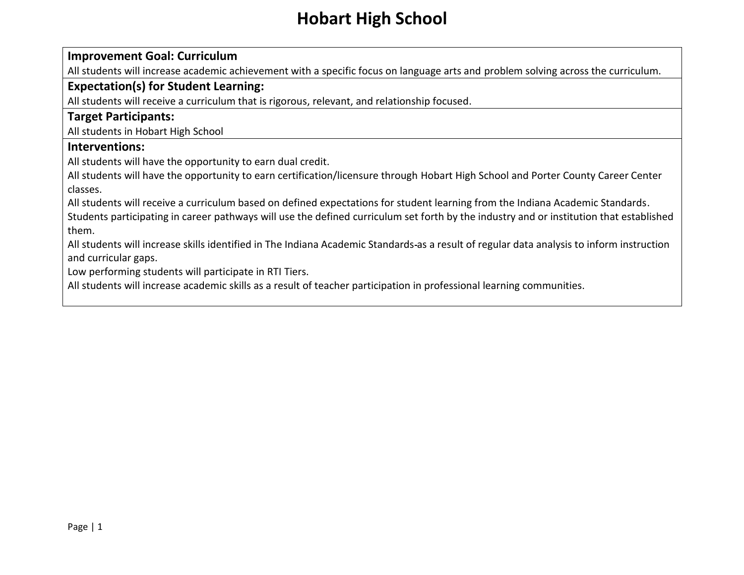#### **Improvement Goal: Curriculum**

All students will increase academic achievement with a specific focus on language arts and problem solving across the curriculum.

#### **Expectation(s) for Student Learning:**

All students will receive a curriculum that is rigorous, relevant, and relationship focused.

#### **Target Participants:**

All students in Hobart High School

#### **Interventions:**

All students will have the opportunity to earn dual credit.

All students will have the opportunity to earn certification/licensure through Hobart High School and Porter County Career Center classes.

All students will receive a curriculum based on defined expectations for student learning from the Indiana Academic Standards. Students participating in career pathways will use the defined curriculum set forth by the industry and or institution that established them.

All students will increase skills identified in The Indiana Academic Standards as a result of regular data analysis to inform instruction and curricular gaps.

Low performing students will participate in RTI Tiers.

All students will increase academic skills as a result of teacher participation in professional learning communities.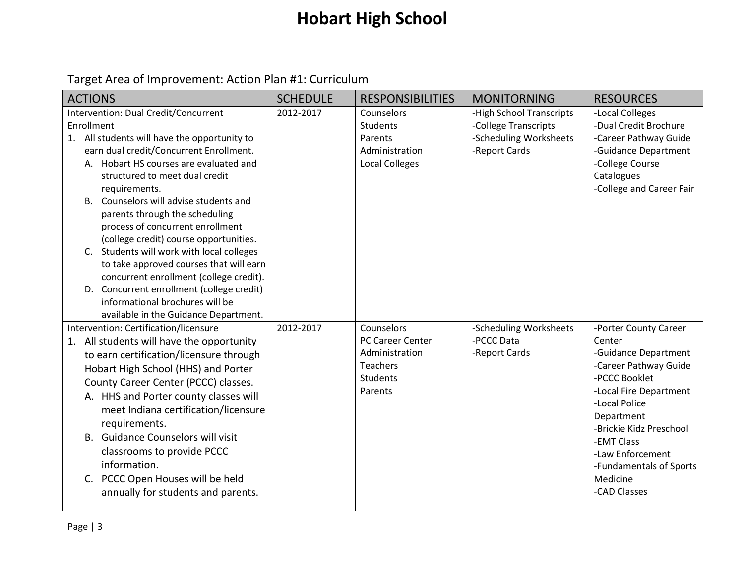| <b>ACTIONS</b>                                                                                                                                                                                                                                                                                                                                                                                                                                                                                                                                                                                                                                                      | <b>SCHEDULE</b> | <b>RESPONSIBILITIES</b>                                                                    | <b>MONITORNING</b>                                                                          | <b>RESOURCES</b>                                                                                                                                                                                                                                                               |
|---------------------------------------------------------------------------------------------------------------------------------------------------------------------------------------------------------------------------------------------------------------------------------------------------------------------------------------------------------------------------------------------------------------------------------------------------------------------------------------------------------------------------------------------------------------------------------------------------------------------------------------------------------------------|-----------------|--------------------------------------------------------------------------------------------|---------------------------------------------------------------------------------------------|--------------------------------------------------------------------------------------------------------------------------------------------------------------------------------------------------------------------------------------------------------------------------------|
| Intervention: Dual Credit/Concurrent<br>Enrollment<br>1. All students will have the opportunity to<br>earn dual credit/Concurrent Enrollment.<br>A. Hobart HS courses are evaluated and<br>structured to meet dual credit<br>requirements.<br>Counselors will advise students and<br>B.<br>parents through the scheduling<br>process of concurrent enrollment<br>(college credit) course opportunities.<br>C. Students will work with local colleges<br>to take approved courses that will earn<br>concurrent enrollment (college credit).<br>D. Concurrent enrollment (college credit)<br>informational brochures will be<br>available in the Guidance Department. | 2012-2017       | Counselors<br>Students<br>Parents<br>Administration<br><b>Local Colleges</b>               | -High School Transcripts<br>-College Transcripts<br>-Scheduling Worksheets<br>-Report Cards | -Local Colleges<br>-Dual Credit Brochure<br>-Career Pathway Guide<br>-Guidance Department<br>-College Course<br>Catalogues<br>-College and Career Fair                                                                                                                         |
| Intervention: Certification/licensure<br>1. All students will have the opportunity<br>to earn certification/licensure through<br>Hobart High School (HHS) and Porter<br>County Career Center (PCCC) classes.<br>A. HHS and Porter county classes will<br>meet Indiana certification/licensure<br>requirements.<br><b>Guidance Counselors will visit</b><br>B.<br>classrooms to provide PCCC<br>information.<br>PCCC Open Houses will be held<br>C.<br>annually for students and parents.                                                                                                                                                                            | 2012-2017       | Counselors<br>PC Career Center<br>Administration<br>Teachers<br><b>Students</b><br>Parents | -Scheduling Worksheets<br>-PCCC Data<br>-Report Cards                                       | -Porter County Career<br>Center<br>-Guidance Department<br>-Career Pathway Guide<br>-PCCC Booklet<br>-Local Fire Department<br>-Local Police<br>Department<br>-Brickie Kidz Preschool<br>-EMT Class<br>-Law Enforcement<br>-Fundamentals of Sports<br>Medicine<br>-CAD Classes |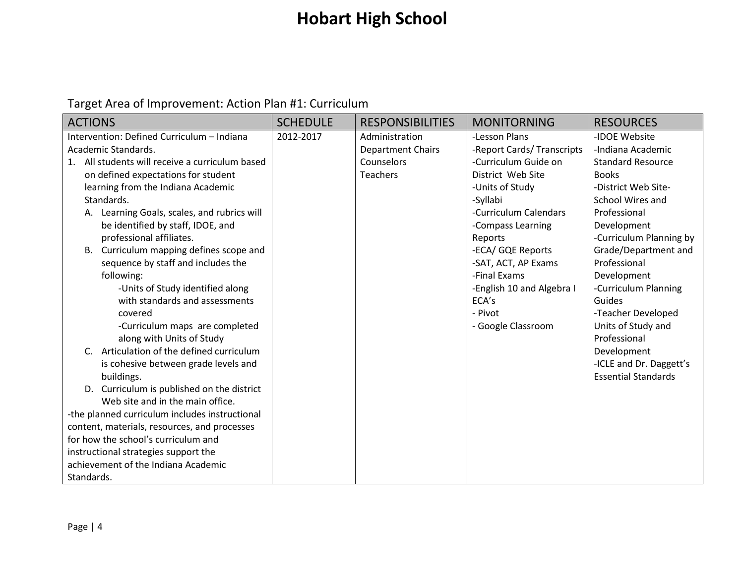| <b>ACTIONS</b>                                     | <b>SCHEDULE</b> | <b>RESPONSIBILITIES</b>  | <b>MONITORNING</b>         | <b>RESOURCES</b>           |
|----------------------------------------------------|-----------------|--------------------------|----------------------------|----------------------------|
| Intervention: Defined Curriculum - Indiana         | 2012-2017       | Administration           | -Lesson Plans              | -IDOE Website              |
| Academic Standards.                                |                 | <b>Department Chairs</b> | -Report Cards/ Transcripts | -Indiana Academic          |
| All students will receive a curriculum based<br>1. |                 | Counselors               | -Curriculum Guide on       | <b>Standard Resource</b>   |
| on defined expectations for student                |                 | <b>Teachers</b>          | District Web Site          | <b>Books</b>               |
| learning from the Indiana Academic                 |                 |                          | -Units of Study            | -District Web Site-        |
| Standards.                                         |                 |                          | -Syllabi                   | School Wires and           |
| Learning Goals, scales, and rubrics will           |                 |                          | -Curriculum Calendars      | Professional               |
| be identified by staff, IDOE, and                  |                 |                          | -Compass Learning          | Development                |
| professional affiliates.                           |                 |                          | Reports                    | -Curriculum Planning by    |
| Curriculum mapping defines scope and<br>B.         |                 |                          | -ECA/ GQE Reports          | Grade/Department and       |
| sequence by staff and includes the                 |                 |                          | -SAT, ACT, AP Exams        | Professional               |
| following:                                         |                 |                          | -Final Exams               | Development                |
| -Units of Study identified along                   |                 |                          | -English 10 and Algebra I  | -Curriculum Planning       |
| with standards and assessments                     |                 |                          | ECA's                      | Guides                     |
| covered                                            |                 |                          | - Pivot                    | -Teacher Developed         |
| -Curriculum maps are completed                     |                 |                          | - Google Classroom         | Units of Study and         |
| along with Units of Study                          |                 |                          |                            | Professional               |
| Articulation of the defined curriculum<br>C.       |                 |                          |                            | Development                |
| is cohesive between grade levels and               |                 |                          |                            | -ICLE and Dr. Daggett's    |
| buildings.                                         |                 |                          |                            | <b>Essential Standards</b> |
| D. Curriculum is published on the district         |                 |                          |                            |                            |
| Web site and in the main office.                   |                 |                          |                            |                            |
| -the planned curriculum includes instructional     |                 |                          |                            |                            |
| content, materials, resources, and processes       |                 |                          |                            |                            |
| for how the school's curriculum and                |                 |                          |                            |                            |
| instructional strategies support the               |                 |                          |                            |                            |
| achievement of the Indiana Academic                |                 |                          |                            |                            |
| Standards.                                         |                 |                          |                            |                            |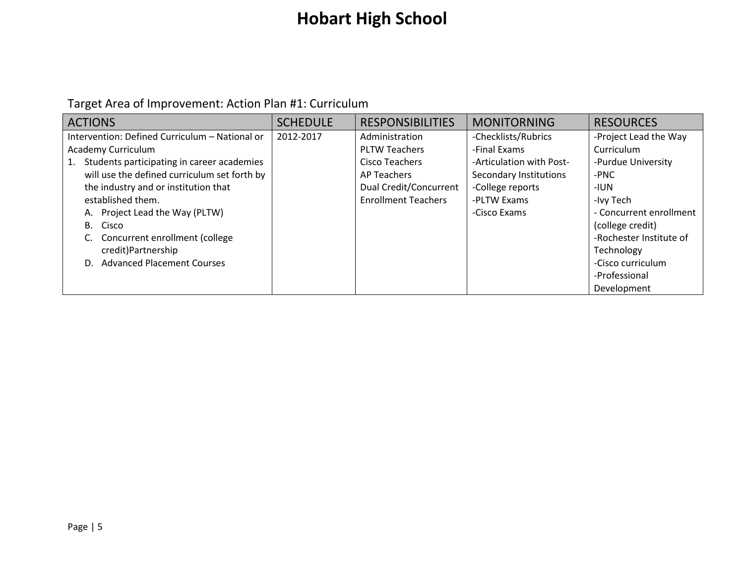| <b>ACTIONS</b>                                   | <b>SCHEDULE</b> | <b>RESPONSIBILITIES</b>    | <b>MONITORNING</b>       | <b>RESOURCES</b>        |
|--------------------------------------------------|-----------------|----------------------------|--------------------------|-------------------------|
| Intervention: Defined Curriculum - National or   | 2012-2017       | Administration             | -Checklists/Rubrics      | -Project Lead the Way   |
| Academy Curriculum                               |                 | <b>PLTW Teachers</b>       | -Final Exams             | Curriculum              |
| Students participating in career academies<br>1. |                 | Cisco Teachers             | -Articulation with Post- | -Purdue University      |
| will use the defined curriculum set forth by     |                 | AP Teachers                | Secondary Institutions   | -PNC                    |
| the industry and or institution that             |                 | Dual Credit/Concurrent     | -College reports         | -IUN                    |
| established them.                                |                 | <b>Enrollment Teachers</b> | -PLTW Exams              | -Ivy Tech               |
| A. Project Lead the Way (PLTW)                   |                 |                            | -Cisco Exams             | - Concurrent enrollment |
| B. Cisco                                         |                 |                            |                          | (college credit)        |
| Concurrent enrollment (college                   |                 |                            |                          | -Rochester Institute of |
| credit)Partnership                               |                 |                            |                          | Technology              |
| <b>Advanced Placement Courses</b><br>D.          |                 |                            |                          | -Cisco curriculum       |
|                                                  |                 |                            |                          | -Professional           |
|                                                  |                 |                            |                          | Development             |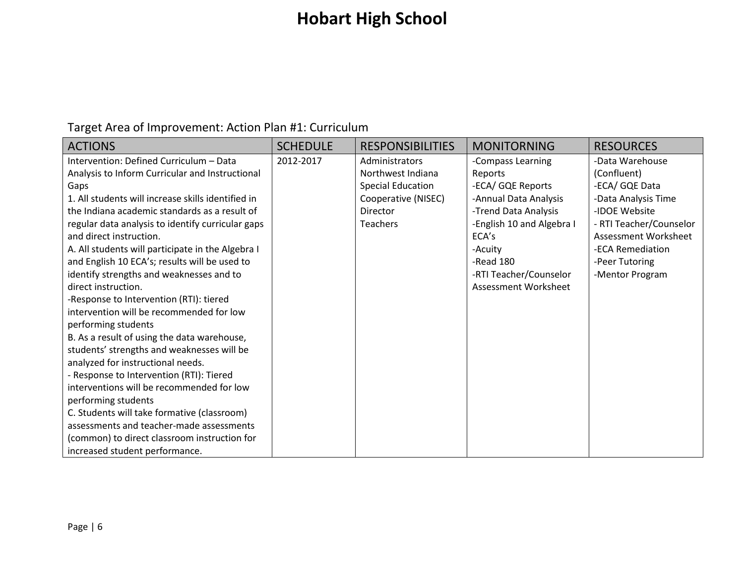| <b>ACTIONS</b>                                     | <b>SCHEDULE</b> | <b>RESPONSIBILITIES</b>  | <b>MONITORNING</b>        | <b>RESOURCES</b>        |
|----------------------------------------------------|-----------------|--------------------------|---------------------------|-------------------------|
| Intervention: Defined Curriculum - Data            | 2012-2017       | Administrators           | -Compass Learning         | -Data Warehouse         |
| Analysis to Inform Curricular and Instructional    |                 | Northwest Indiana        | Reports                   | (Confluent)             |
| Gaps                                               |                 | <b>Special Education</b> | -ECA/ GQE Reports         | -ECA/ GQE Data          |
| 1. All students will increase skills identified in |                 | Cooperative (NISEC)      | -Annual Data Analysis     | -Data Analysis Time     |
| the Indiana academic standards as a result of      |                 | Director                 | -Trend Data Analysis      | -IDOE Website           |
| regular data analysis to identify curricular gaps  |                 | <b>Teachers</b>          | -English 10 and Algebra I | - RTI Teacher/Counselor |
| and direct instruction.                            |                 |                          | ECA's                     | Assessment Worksheet    |
| A. All students will participate in the Algebra I  |                 |                          | -Acuity                   | -ECA Remediation        |
| and English 10 ECA's; results will be used to      |                 |                          | -Read 180                 | -Peer Tutoring          |
| identify strengths and weaknesses and to           |                 |                          | -RTI Teacher/Counselor    | -Mentor Program         |
| direct instruction.                                |                 |                          | Assessment Worksheet      |                         |
| -Response to Intervention (RTI): tiered            |                 |                          |                           |                         |
| intervention will be recommended for low           |                 |                          |                           |                         |
| performing students                                |                 |                          |                           |                         |
| B. As a result of using the data warehouse,        |                 |                          |                           |                         |
| students' strengths and weaknesses will be         |                 |                          |                           |                         |
| analyzed for instructional needs.                  |                 |                          |                           |                         |
| - Response to Intervention (RTI): Tiered           |                 |                          |                           |                         |
| interventions will be recommended for low          |                 |                          |                           |                         |
| performing students                                |                 |                          |                           |                         |
| C. Students will take formative (classroom)        |                 |                          |                           |                         |
| assessments and teacher-made assessments           |                 |                          |                           |                         |
| (common) to direct classroom instruction for       |                 |                          |                           |                         |
| increased student performance.                     |                 |                          |                           |                         |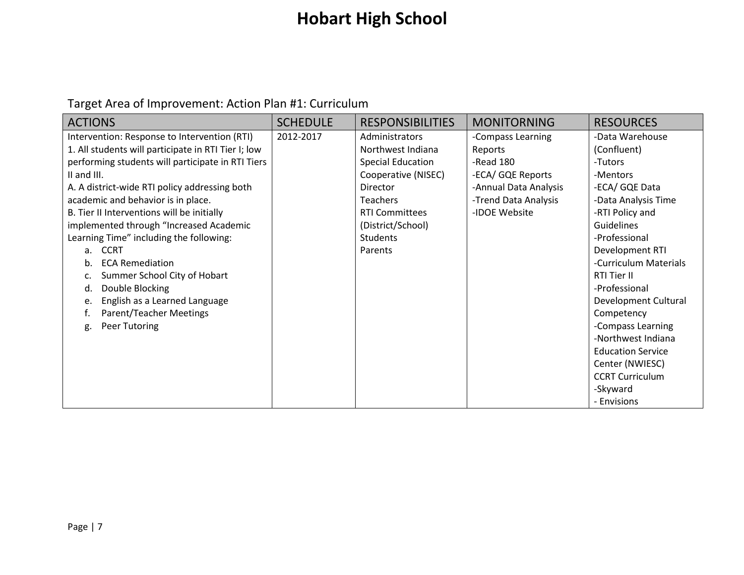| <b>ACTIONS</b>                                      | <b>SCHEDULE</b> | <b>RESPONSIBILITIES</b>  | <b>MONITORNING</b>    | <b>RESOURCES</b>         |
|-----------------------------------------------------|-----------------|--------------------------|-----------------------|--------------------------|
| Intervention: Response to Intervention (RTI)        | 2012-2017       | Administrators           | -Compass Learning     | -Data Warehouse          |
| 1. All students will participate in RTI Tier I; low |                 | Northwest Indiana        | Reports               | (Confluent)              |
| performing students will participate in RTI Tiers   |                 | <b>Special Education</b> | -Read 180             | -Tutors                  |
| II and III.                                         |                 | Cooperative (NISEC)      | -ECA/ GQE Reports     | -Mentors                 |
| A. A district-wide RTI policy addressing both       |                 | Director                 | -Annual Data Analysis | -ECA/ GQE Data           |
| academic and behavior is in place.                  |                 | <b>Teachers</b>          | -Trend Data Analysis  | -Data Analysis Time      |
| B. Tier II Interventions will be initially          |                 | <b>RTI Committees</b>    | -IDOE Website         | -RTI Policy and          |
| implemented through "Increased Academic             |                 | (District/School)        |                       | <b>Guidelines</b>        |
| Learning Time" including the following:             |                 | <b>Students</b>          |                       | -Professional            |
| <b>CCRT</b><br>a.                                   |                 | Parents                  |                       | Development RTI          |
| <b>ECA Remediation</b><br>b.                        |                 |                          |                       | -Curriculum Materials    |
| Summer School City of Hobart                        |                 |                          |                       | RTI Tier II              |
| Double Blocking<br>d.                               |                 |                          |                       | -Professional            |
| English as a Learned Language<br>e.                 |                 |                          |                       | Development Cultural     |
| Parent/Teacher Meetings                             |                 |                          |                       | Competency               |
| Peer Tutoring<br>g.                                 |                 |                          |                       | -Compass Learning        |
|                                                     |                 |                          |                       | -Northwest Indiana       |
|                                                     |                 |                          |                       | <b>Education Service</b> |
|                                                     |                 |                          |                       | Center (NWIESC)          |
|                                                     |                 |                          |                       | <b>CCRT Curriculum</b>   |
|                                                     |                 |                          |                       | -Skyward                 |
|                                                     |                 |                          |                       | - Envisions              |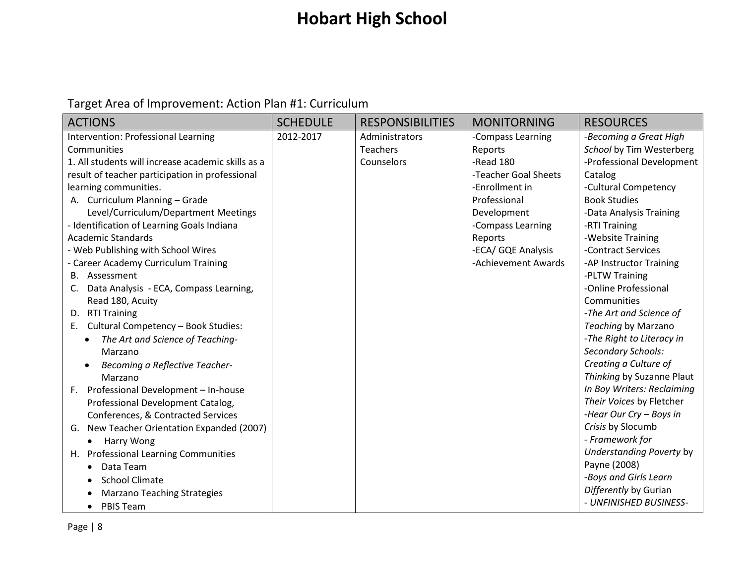| <b>ACTIONS</b>                                     | <b>SCHEDULE</b> | <b>RESPONSIBILITIES</b> | <b>MONITORNING</b>   | <b>RESOURCES</b>           |
|----------------------------------------------------|-----------------|-------------------------|----------------------|----------------------------|
| Intervention: Professional Learning                | 2012-2017       | Administrators          | -Compass Learning    | -Becoming a Great High     |
| Communities                                        |                 | <b>Teachers</b>         | Reports              | School by Tim Westerberg   |
| 1. All students will increase academic skills as a |                 | Counselors              | -Read 180            | -Professional Development  |
| result of teacher participation in professional    |                 |                         | -Teacher Goal Sheets | Catalog                    |
| learning communities.                              |                 |                         | -Enrollment in       | -Cultural Competency       |
| A. Curriculum Planning - Grade                     |                 |                         | Professional         | <b>Book Studies</b>        |
| Level/Curriculum/Department Meetings               |                 |                         | Development          | -Data Analysis Training    |
| - Identification of Learning Goals Indiana         |                 |                         | -Compass Learning    | -RTI Training              |
| <b>Academic Standards</b>                          |                 |                         | Reports              | -Website Training          |
| - Web Publishing with School Wires                 |                 |                         | -ECA/ GQE Analysis   | -Contract Services         |
| <b>Career Academy Curriculum Training</b>          |                 |                         | -Achievement Awards  | -AP Instructor Training    |
| B. Assessment                                      |                 |                         |                      | -PLTW Training             |
| Data Analysis - ECA, Compass Learning,             |                 |                         |                      | -Online Professional       |
| Read 180, Acuity                                   |                 |                         |                      | Communities                |
| D. RTI Training                                    |                 |                         |                      | -The Art and Science of    |
| E. Cultural Competency - Book Studies:             |                 |                         |                      | Teaching by Marzano        |
| The Art and Science of Teaching-                   |                 |                         |                      | -The Right to Literacy in  |
| Marzano                                            |                 |                         |                      | Secondary Schools:         |
| Becoming a Reflective Teacher-                     |                 |                         |                      | Creating a Culture of      |
| Marzano                                            |                 |                         |                      | Thinking by Suzanne Plaut  |
| F. Professional Development - In-house             |                 |                         |                      | In Boy Writers: Reclaiming |
| Professional Development Catalog,                  |                 |                         |                      | Their Voices by Fletcher   |
| Conferences, & Contracted Services                 |                 |                         |                      | -Hear Our Cry - Boys in    |
| New Teacher Orientation Expanded (2007)<br>G.      |                 |                         |                      | Crisis by Slocumb          |
| Harry Wong<br>$\bullet$                            |                 |                         |                      | - Framework for            |
| H. Professional Learning Communities               |                 |                         |                      | Understanding Poverty by   |
| Data Team<br>٠                                     |                 |                         |                      | Payne (2008)               |
| <b>School Climate</b>                              |                 |                         |                      | -Boys and Girls Learn      |
| <b>Marzano Teaching Strategies</b>                 |                 |                         |                      | Differently by Gurian      |
| <b>PBIS Team</b><br>$\bullet$                      |                 |                         |                      | - UNFINISHED BUSINESS-     |